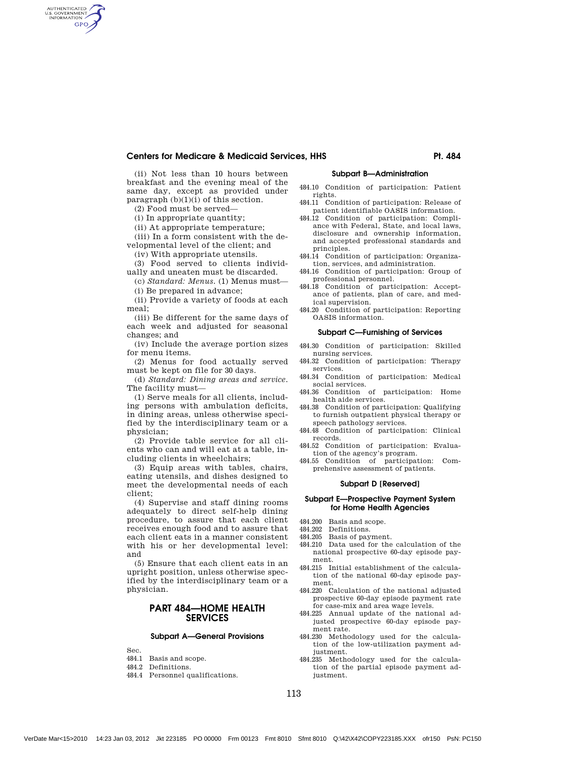(ii) Not less than 10 hours between breakfast and the evening meal of the same day, except as provided under paragraph  $(b)(1)(i)$  of this section.

(2) Food must be served—

AUTHENTICATED<br>U.S. GOVERNMENT<br>INFORMATION **GPO** 

(i) In appropriate quantity;

(ii) At appropriate temperature;

(iii) In a form consistent with the developmental level of the client; and

(iv) With appropriate utensils.

(3) Food served to clients individually and uneaten must be discarded.

(c) *Standard: Menus.* (1) Menus must—

(i) Be prepared in advance;

(ii) Provide a variety of foods at each meal;

(iii) Be different for the same days of each week and adjusted for seasonal changes; and

(iv) Include the average portion sizes for menu items.

(2) Menus for food actually served must be kept on file for 30 days.

(d) *Standard: Dining areas and service.* The facility must—

(1) Serve meals for all clients, including persons with ambulation deficits, in dining areas, unless otherwise specified by the interdisciplinary team or a physician;

(2) Provide table service for all clients who can and will eat at a table, including clients in wheelchairs;

(3) Equip areas with tables, chairs, eating utensils, and dishes designed to meet the developmental needs of each client;

(4) Supervise and staff dining rooms adequately to direct self-help dining procedure, to assure that each client receives enough food and to assure that each client eats in a manner consistent with his or her developmental level: and

(5) Ensure that each client eats in an upright position, unless otherwise specified by the interdisciplinary team or a physician.

## PART 484—HOME HEALTH SERVICES

## Subpart A—General Provisions

Sec.

- 484.1 Basis and scope.
- 484.2 Definitions.
- 484.4 Personnel qualifications.

## Subpart B—Administration

484.10 Condition of participation: Patient rights.

- 484.11 Condition of participation: Release of patient identifiable OASIS information.
- 484.12 Condition of participation: Compliance with Federal, State, and local laws, disclosure and ownership information, and accepted professional standards and principles.
- 484.14 Condition of participation: Organization, services, and administration.
- 484.16 Condition of participation: Group of professional personnel.
- 484.18 Condition of participation: Acceptance of patients, plan of care, and medical supervision.
- 484.20 Condition of participation: Reporting OASIS information.

## Subpart C—Furnishing of Services

- 484.30 Condition of participation: Skilled nursing services.
- 484.32 Condition of participation: Therapy services.
- 484.34 Condition of participation: Medical social services.
- 484.36 Condition of participation: Home health aide services.
- 484.38 Condition of participation: Qualifying to furnish outpatient physical therapy or speech pathology services.
- 484.48 Condition of participation: Clinical records.
- 484.52 Condition of participation: Evaluation of the agency's program.
- 484.55 Condition of participation: Comprehensive assessment of patients.

### Subpart D **[**Reserved**]**

## Subpart E—Prospective Payment System for Home Health Agencies

- 484.200 Basis and scope.
- 484.202 Definitions.<br>484.205 Basis of pay
- Basis of payment.
- 484.210 Data used for the calculation of the national prospective 60-day episode payment.
- 484.215 Initial establishment of the calculation of the national 60-day episode payment.
- 484.220 Calculation of the national adjusted prospective 60-day episode payment rate for case-mix and area wage levels.
- 484.225 Annual update of the national adjusted prospective 60-day episode payment rate.
- 484.230 Methodology used for the calculation of the low-utilization payment adjustment.
- 484.235 Methodology used for the calculation of the partial episode payment adjustment.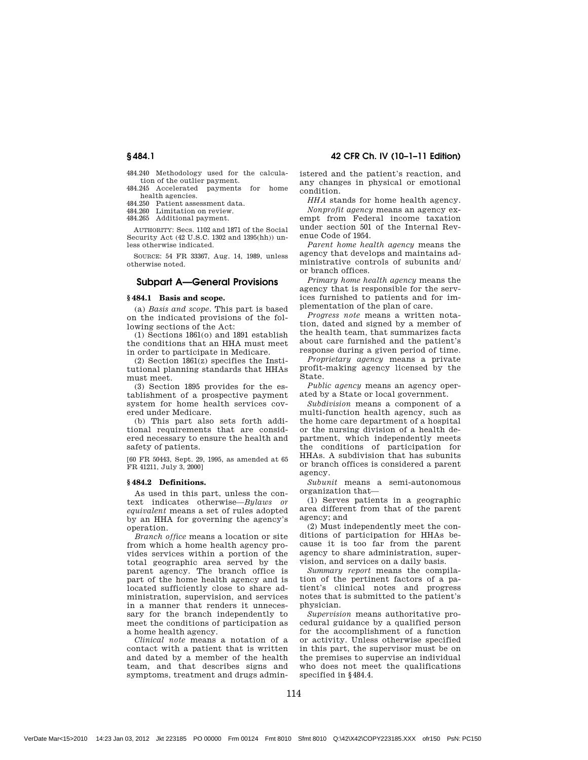484.240 Methodology used for the calculation of the outlier payment.

484.245 Accelerated payments for home health agencies.

484.250 Patient assessment data.

484.260 Limitation on review.

484.265 Additional payment.

AUTHORITY: Secs. 1102 and 1871 of the Social Security Act (42 U.S.C. 1302 and 1395(hh)) unless otherwise indicated.

SOURCE: 54 FR 33367, Aug. 14, 1989, unless otherwise noted.

## Subpart A—General Provisions

### **§ 484.1 Basis and scope.**

(a) *Basis and scope.* This part is based on the indicated provisions of the following sections of the Act:

(1) Sections 1861(o) and 1891 establish the conditions that an HHA must meet in order to participate in Medicare.

(2) Section 1861(z) specifies the Institutional planning standards that HHAs must meet.

(3) Section 1895 provides for the establishment of a prospective payment system for home health services covered under Medicare.

(b) This part also sets forth additional requirements that are considered necessary to ensure the health and safety of patients.

[60 FR 50443, Sept. 29, 1995, as amended at 65 FR 41211, July 3, 2000]

#### **§ 484.2 Definitions.**

As used in this part, unless the context indicates otherwise—*Bylaws or equivalent* means a set of rules adopted by an HHA for governing the agency's operation.

*Branch office* means a location or site from which a home health agency provides services within a portion of the total geographic area served by the parent agency. The branch office is part of the home health agency and is located sufficiently close to share administration, supervision, and services in a manner that renders it unnecessary for the branch independently to meet the conditions of participation as a home health agency.

*Clinical note* means a notation of a contact with a patient that is written and dated by a member of the health team, and that describes signs and symptoms, treatment and drugs administered and the patient's reaction, and any changes in physical or emotional condition.

*HHA* stands for home health agency.

*Nonprofit agency* means an agency exempt from Federal income taxation under section 501 of the Internal Revenue Code of 1954.

*Parent home health agency* means the agency that develops and maintains administrative controls of subunits and/ or branch offices.

*Primary home health agency* means the agency that is responsible for the services furnished to patients and for implementation of the plan of care.

*Progress note* means a written notation, dated and signed by a member of the health team, that summarizes facts about care furnished and the patient's response during a given period of time.

*Proprietary agency* means a private profit-making agency licensed by the State.

*Public agency* means an agency operated by a State or local government.

*Subdivision* means a component of a multi-function health agency, such as the home care department of a hospital or the nursing division of a health department, which independently meets the conditions of participation for HHAs. A subdivision that has subunits or branch offices is considered a parent agency.

*Subunit* means a semi-autonomous organization that—

(1) Serves patients in a geographic area different from that of the parent agency; and

(2) Must independently meet the conditions of participation for HHAs because it is too far from the parent agency to share administration, supervision, and services on a daily basis.

*Summary report* means the compilation of the pertinent factors of a patient's clinical notes and progress notes that is submitted to the patient's physician.

*Supervision* means authoritative procedural guidance by a qualified person for the accomplishment of a function or activity. Unless otherwise specified in this part, the supervisor must be on the premises to supervise an individual who does not meet the qualifications specified in §484.4.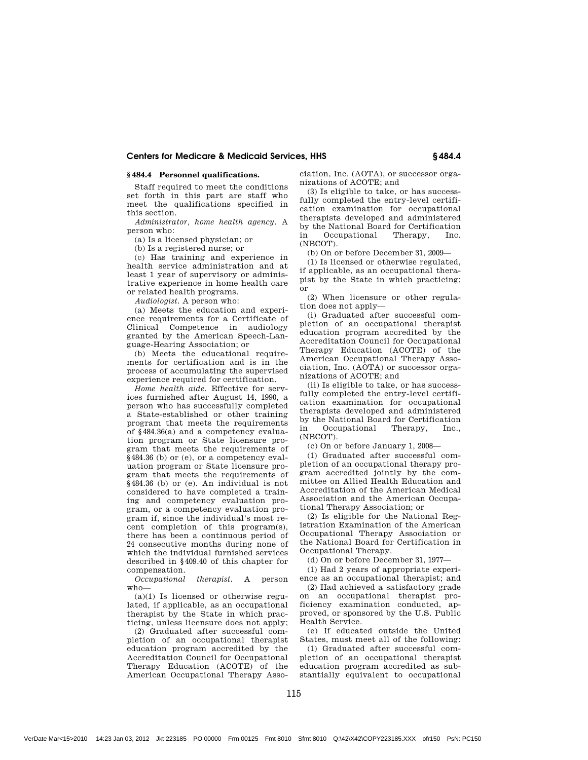## **§ 484.4 Personnel qualifications.**

Staff required to meet the conditions set forth in this part are staff who meet the qualifications specified in this section.

*Administrator, home health agency.* A person who:

(a) Is a licensed physician; or

(b) Is a registered nurse; or

(c) Has training and experience in health service administration and at least 1 year of supervisory or administrative experience in home health care or related health programs.

*Audiologist.* A person who:

(a) Meets the education and experience requirements for a Certificate of Clinical Competence in audiology granted by the American Speech-Language-Hearing Association; or

(b) Meets the educational requirements for certification and is in the process of accumulating the supervised experience required for certification.

*Home health aide.* Effective for services furnished after August 14, 1990, a person who has successfully completed a State-established or other training program that meets the requirements of §484.36(a) and a competency evaluation program or State licensure program that meets the requirements of §484.36 (b) or (e), or a competency evaluation program or State licensure program that meets the requirements of §484.36 (b) or (e). An individual is not considered to have completed a training and competency evaluation program, or a competency evaluation program if, since the individual's most recent completion of this program(s), there has been a continuous period of 24 consecutive months during none of which the individual furnished services described in §409.40 of this chapter for compensation.<br>*Occunational* 

*therapist.* A person who—

(a)(1) Is licensed or otherwise regulated, if applicable, as an occupational therapist by the State in which practicing, unless licensure does not apply;

(2) Graduated after successful completion of an occupational therapist education program accredited by the Accreditation Council for Occupational Therapy Education (ACOTE) of the American Occupational Therapy Association, Inc. (AOTA), or successor organizations of ACOTE; and

(3) Is eligible to take, or has successfully completed the entry-level certification examination for occupational therapists developed and administered by the National Board for Certification in Occupational Therapy, Inc. (NBCOT).

(b) On or before December 31, 2009—

(1) Is licensed or otherwise regulated, if applicable, as an occupational therapist by the State in which practicing; or

(2) When licensure or other regulation does not apply—

(i) Graduated after successful completion of an occupational therapist education program accredited by the Accreditation Council for Occupational Therapy Education (ACOTE) of the American Occupational Therapy Association, Inc. (AOTA) or successor organizations of ACOTE; and

(ii) Is eligible to take, or has successfully completed the entry-level certification examination for occupational therapists developed and administered by the National Board for Certification<br>in Occupational Therapy, Inc., in Occupational Therapy, Inc., (NBCOT).

(c) On or before January 1, 2008—

(1) Graduated after successful completion of an occupational therapy program accredited jointly by the committee on Allied Health Education and Accreditation of the American Medical Association and the American Occupational Therapy Association; or

(2) Is eligible for the National Registration Examination of the American Occupational Therapy Association or the National Board for Certification in Occupational Therapy.

(d) On or before December 31, 1977—

(1) Had 2 years of appropriate experience as an occupational therapist; and

(2) Had achieved a satisfactory grade on an occupational therapist proficiency examination conducted, approved, or sponsored by the U.S. Public Health Service.

(e) If educated outside the United States, must meet all of the following:

(1) Graduated after successful completion of an occupational therapist education program accredited as substantially equivalent to occupational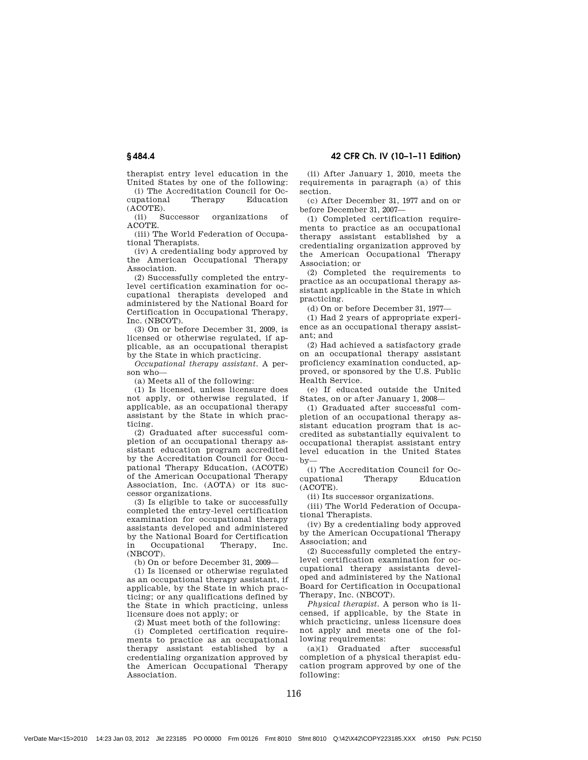therapist entry level education in the United States by one of the following:

(i) The Accreditation Council for Oc-<br>upational Therapy Education cupational (ACOTE).

(ii) Successor organizations of ACOTE.

(iii) The World Federation of Occupational Therapists.

(iv) A credentialing body approved by the American Occupational Therapy Association.

(2) Successfully completed the entrylevel certification examination for occupational therapists developed and administered by the National Board for Certification in Occupational Therapy, Inc. (NBCOT).

(3) On or before December 31, 2009, is licensed or otherwise regulated, if applicable, as an occupational therapist by the State in which practicing.

*Occupational therapy assistant*. A person who—

(a) Meets all of the following:

(1) Is licensed, unless licensure does not apply, or otherwise regulated, if applicable, as an occupational therapy assistant by the State in which practicing.

(2) Graduated after successful completion of an occupational therapy assistant education program accredited by the Accreditation Council for Occupational Therapy Education, (ACOTE) of the American Occupational Therapy Association, Inc. (AOTA) or its successor organizations.

(3) Is eligible to take or successfully completed the entry-level certification examination for occupational therapy assistants developed and administered by the National Board for Certification<br>in Occupational Therapy, Inc. in Occupational Therapy, Inc. (NBCOT).

(b) On or before December 31, 2009—

(1) Is licensed or otherwise regulated as an occupational therapy assistant, if applicable, by the State in which practicing; or any qualifications defined by the State in which practicing, unless licensure does not apply; or

(2) Must meet both of the following:

(i) Completed certification requirements to practice as an occupational therapy assistant established by a credentialing organization approved by the American Occupational Therapy Association.

(ii) After January 1, 2010, meets the requirements in paragraph (a) of this section.

(c) After December 31, 1977 and on or before December 31, 2007—

(1) Completed certification requirements to practice as an occupational therapy assistant established by a credentialing organization approved by the American Occupational Therapy Association; or

(2) Completed the requirements to practice as an occupational therapy assistant applicable in the State in which practicing.

(d) On or before December 31, 1977—

(1) Had 2 years of appropriate experience as an occupational therapy assistant; and

(2) Had achieved a satisfactory grade on an occupational therapy assistant proficiency examination conducted, approved, or sponsored by the U.S. Public Health Service.

(e) If educated outside the United States, on or after January 1, 2008—

(1) Graduated after successful completion of an occupational therapy assistant education program that is accredited as substantially equivalent to occupational therapist assistant entry level education in the United States by—

(i) The Accreditation Council for Oc-<br>
1991 Therapy Education cupational (ACOTE).

(ii) Its successor organizations.

(iii) The World Federation of Occupational Therapists.

(iv) By a credentialing body approved by the American Occupational Therapy Association; and

(2) Successfully completed the entrylevel certification examination for occupational therapy assistants developed and administered by the National Board for Certification in Occupational Therapy, Inc. (NBCOT).

*Physical therapist.* A person who is licensed, if applicable, by the State in which practicing, unless licensure does not apply and meets one of the following requirements:

(a)(1) Graduated after successful completion of a physical therapist education program approved by one of the following: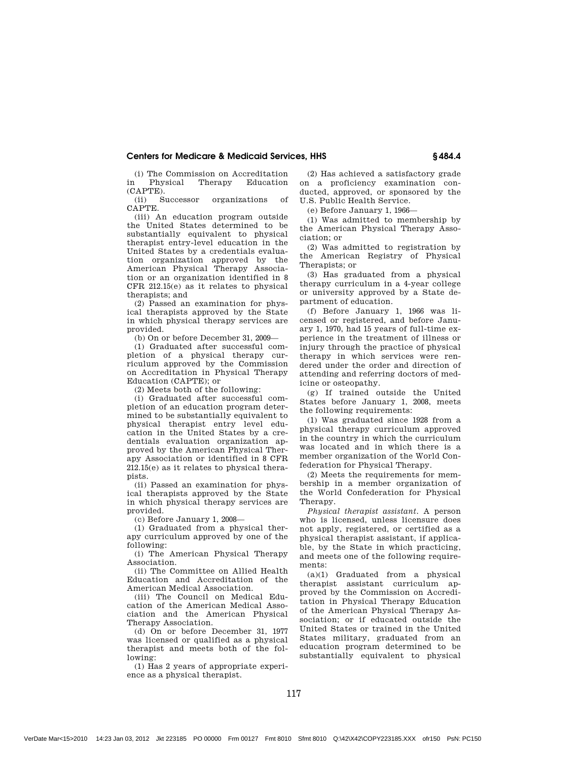(i) The Commission on Accreditation in Physical Therapy Education (CAPTE).<br>(ii) Successor

organizations of CAPTE.

(iii) An education program outside the United States determined to be substantially equivalent to physical therapist entry-level education in the United States by a credentials evaluation organization approved by the American Physical Therapy Association or an organization identified in 8 CFR 212.15(e) as it relates to physical therapists; and

(2) Passed an examination for physical therapists approved by the State in which physical therapy services are provided.

(b) On or before December 31, 2009—

(1) Graduated after successful completion of a physical therapy curriculum approved by the Commission on Accreditation in Physical Therapy Education (CAPTE); or

(2) Meets both of the following:

(i) Graduated after successful completion of an education program determined to be substantially equivalent to physical therapist entry level education in the United States by a credentials evaluation organization approved by the American Physical Therapy Association or identified in 8 CFR 212.15(e) as it relates to physical therapists.

(ii) Passed an examination for physical therapists approved by the State in which physical therapy services are provided.

(c) Before January 1, 2008—

(1) Graduated from a physical therapy curriculum approved by one of the following:

(i) The American Physical Therapy Association.

(ii) The Committee on Allied Health Education and Accreditation of the American Medical Association.

(iii) The Council on Medical Education of the American Medical Association and the American Physical Therapy Association.

(d) On or before December 31, 1977 was licensed or qualified as a physical therapist and meets both of the following:

(1) Has 2 years of appropriate experience as a physical therapist.

(2) Has achieved a satisfactory grade on a proficiency examination conducted, approved, or sponsored by the U.S. Public Health Service.

(e) Before January 1, 1966—

(1) Was admitted to membership by the American Physical Therapy Association; or

(2) Was admitted to registration by the American Registry of Physical Therapists; or

(3) Has graduated from a physical therapy curriculum in a 4-year college or university approved by a State department of education.

(f) Before January 1, 1966 was licensed or registered, and before January 1, 1970, had 15 years of full-time experience in the treatment of illness or injury through the practice of physical therapy in which services were rendered under the order and direction of attending and referring doctors of medicine or osteopathy.

(g) If trained outside the United States before January 1, 2008, meets the following requirements:

(1) Was graduated since 1928 from a physical therapy curriculum approved in the country in which the curriculum was located and in which there is a member organization of the World Confederation for Physical Therapy.

(2) Meets the requirements for membership in a member organization of the World Confederation for Physical Therapy.

*Physical therapist assistant*. A person who is licensed, unless licensure does not apply, registered, or certified as a physical therapist assistant, if applicable, by the State in which practicing, and meets one of the following requirements:

(a)(1) Graduated from a physical therapist assistant curriculum approved by the Commission on Accreditation in Physical Therapy Education of the American Physical Therapy Association; or if educated outside the United States or trained in the United States military, graduated from an education program determined to be substantially equivalent to physical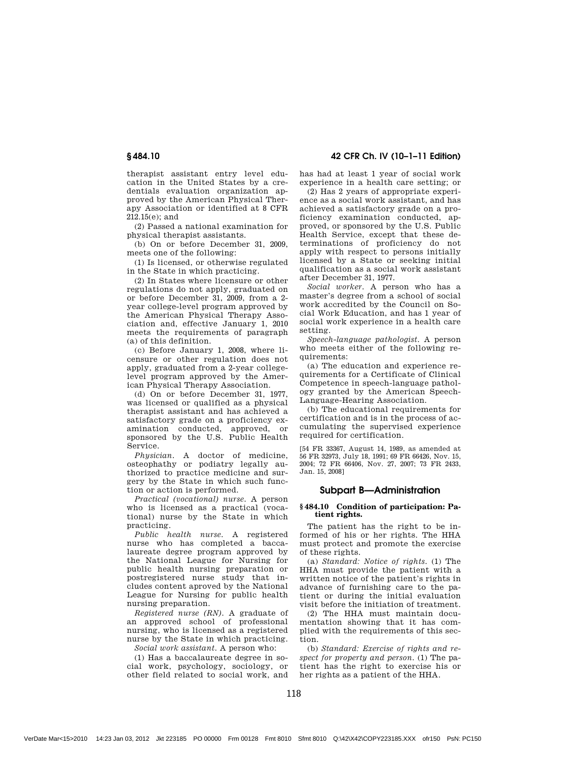therapist assistant entry level education in the United States by a credentials evaluation organization approved by the American Physical Therapy Association or identified at 8 CFR 212.15(e); and

(2) Passed a national examination for physical therapist assistants.

(b) On or before December 31, 2009, meets one of the following:

(1) Is licensed, or otherwise regulated in the State in which practicing.

(2) In States where licensure or other regulations do not apply, graduated on or before December 31, 2009, from a 2 year college-level program approved by the American Physical Therapy Association and, effective January 1, 2010 meets the requirements of paragraph (a) of this definition.

(c) Before January 1, 2008, where licensure or other regulation does not apply, graduated from a 2-year collegelevel program approved by the American Physical Therapy Association.

(d) On or before December 31, 1977, was licensed or qualified as a physical therapist assistant and has achieved a satisfactory grade on a proficiency examination conducted, approved, or sponsored by the U.S. Public Health Service.

*Physician.* A doctor of medicine, osteophathy or podiatry legally authorized to practice medicine and surgery by the State in which such function or action is performed.

*Practical (vocational) nurse.* A person who is licensed as a practical (vocational) nurse by the State in which practicing.

*Public health nurse.* A registered nurse who has completed a baccalaureate degree program approved by the National League for Nursing for public health nursing preparation or postregistered nurse study that includes content aproved by the National League for Nursing for public health nursing preparation.

*Registered nurse (RN).* A graduate of an approved school of professional nursing, who is licensed as a registered nurse by the State in which practicing.

*Social work assistant.* A person who:

(1) Has a baccalaureate degree in social work, psychology, sociology, or other field related to social work, and

§ 484.10 42 CFR Ch. IV (10–1–11 Edition)

has had at least 1 year of social work experience in a health care setting; or

(2) Has 2 years of appropriate experience as a social work assistant, and has achieved a satisfactory grade on a proficiency examination conducted, approved, or sponsored by the U.S. Public Health Service, except that these determinations of proficiency do not apply with respect to persons initially licensed by a State or seeking initial qualification as a social work assistant after December 31, 1977.

*Social worker.* A person who has a master's degree from a school of social work accredited by the Council on Social Work Education, and has 1 year of social work experience in a health care setting.

*Speech-language pathologist.* A person who meets either of the following requirements:

(a) The education and experience requirements for a Certificate of Clinical Competence in speech-language pathology granted by the American Speech-Language-Hearing Association.

(b) The educational requirements for certification and is in the process of accumulating the supervised experience required for certification.

[54 FR 33367, August 14, 1989, as amended at 56 FR 32973, July 18, 1991; 69 FR 66426, Nov. 15, 2004; 72 FR 66406, Nov. 27, 2007; 73 FR 2433, Jan. 15, 2008]

## Subpart B—Administration

#### **§ 484.10 Condition of participation: Patient rights.**

The patient has the right to be informed of his or her rights. The HHA must protect and promote the exercise of these rights.

(a) *Standard: Notice of rights.* (1) The HHA must provide the patient with a written notice of the patient's rights in advance of furnishing care to the patient or during the initial evaluation visit before the initiation of treatment.

(2) The HHA must maintain documentation showing that it has complied with the requirements of this section.

(b) *Standard: Exercise of rights and respect for property and person.* (1) The patient has the right to exercise his or her rights as a patient of the HHA.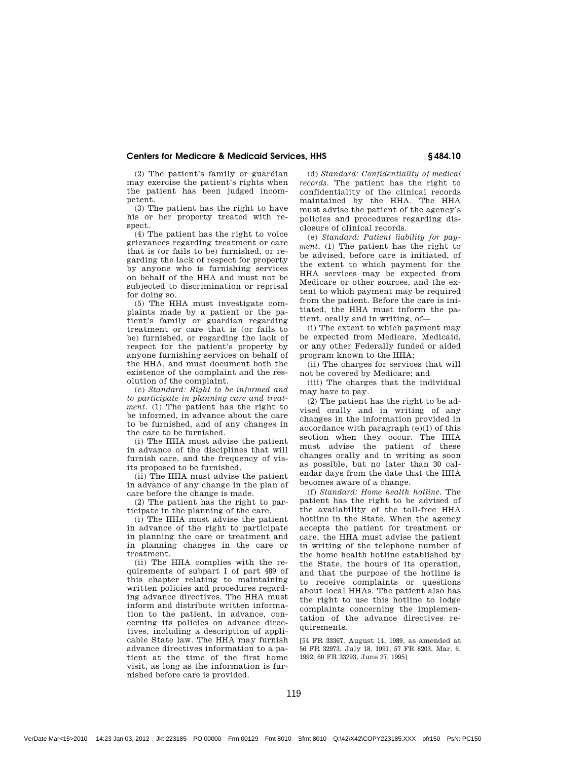(2) The patient's family or guardian may exercise the patient's rights when the patient has been judged incompetent.

(3) The patient has the right to have his or her property treated with respect.

(4) The patient has the right to voice grievances regarding treatment or care that is (or fails to be) furnished, or regarding the lack of respect for property by anyone who is furnishing services on behalf of the HHA and must not be subjected to discrimination or reprisal for doing so.

(5) The HHA must investigate complaints made by a patient or the patient's family or guardian regarding treatment or care that is (or fails to be) furnished, or regarding the lack of respect for the patient's property by anyone furnishing services on behalf of the HHA, and must document both the existence of the complaint and the resolution of the complaint.

(c) *Standard: Right to be informed and to participate in planning care and treatment.* (1) The patient has the right to be informed, in advance about the care to be furnished, and of any changes in the care to be furnished.

(i) The HHA must advise the patient in advance of the disciplines that will furnish care, and the frequency of visits proposed to be furnished.

(ii) The HHA must advise the patient in advance of any change in the plan of care before the change is made.

(2) The patient has the right to participate in the planning of the care.

(i) The HHA must advise the patient in advance of the right to participate in planning the care or treatment and in planning changes in the care or treatment.

(ii) The HHA complies with the requirements of subpart I of part 489 of this chapter relating to maintaining written policies and procedures regarding advance directives. The HHA must inform and distribute written information to the patient, in advance, concerning its policies on advance directives, including a description of applicable State law. The HHA may furnish advance directives information to a patient at the time of the first home visit, as long as the information is furnished before care is provided.

(d) *Standard: Confidentiality of medical records.* The patient has the right to confidentiality of the clinical records maintained by the HHA. The HHA must advise the patient of the agency's policies and procedures regarding disclosure of clinical records.

(e) *Standard: Patient liability for payment.* (1) The patient has the right to be advised, before care is initiated, of the extent to which payment for the HHA services may be expected from Medicare or other sources, and the extent to which payment may be required from the patient. Before the care is initiated, the HHA must inform the patient, orally and in writing, of—

(i) The extent to which payment may be expected from Medicare, Medicaid, or any other Federally funded or aided program known to the HHA;

(ii) The charges for services that will not be covered by Medicare; and

(iii) The charges that the individual may have to pay.

(2) The patient has the right to be advised orally and in writing of any changes in the information provided in accordance with paragraph (e)(1) of this section when they occur. The HHA must advise the patient of these changes orally and in writing as soon as possible, but no later than 30 calendar days from the date that the HHA becomes aware of a change.

(f) *Standard: Home health hotline.* The patient has the right to be advised of the availability of the toll-free HHA hotline in the State. When the agency accepts the patient for treatment or care, the HHA must advise the patient in writing of the telephone number of the home health hotline established by the State, the hours of its operation, and that the purpose of the hotline is to receive complaints or questions about local HHAs. The patient also has the right to use this hotline to lodge complaints concerning the implementation of the advance directives requirements.

[54 FR 33367, August 14, 1989, as amended at 56 FR 32973, July 18, 1991; 57 FR 8203, Mar. 6, 1992; 60 FR 33293, June 27, 1995]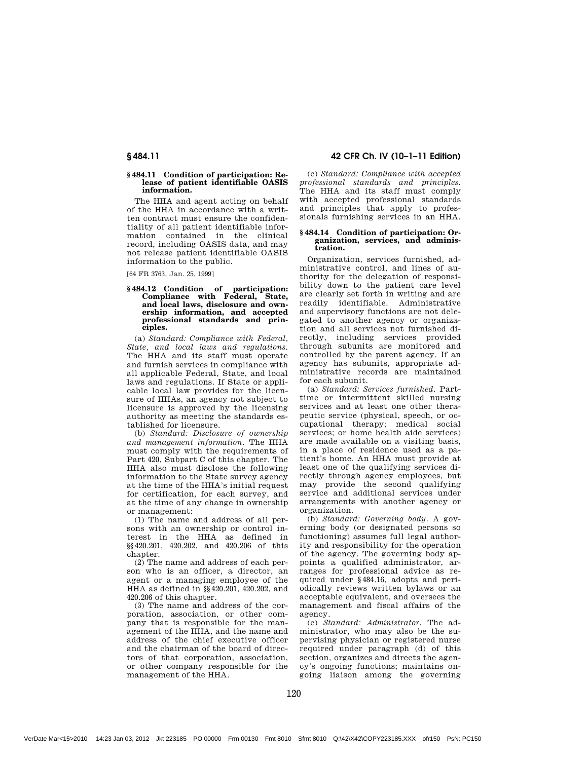# **§ 484.11 Condition of participation: Re-lease of patient identifiable OASIS information.**

The HHA and agent acting on behalf of the HHA in accordance with a written contract must ensure the confidentiality of all patient identifiable information contained in the clinical record, including OASIS data, and may not release patient identifiable OASIS information to the public.

[64 FR 3763, Jan. 25, 1999]

#### **§ 484.12 Condition of participation: Compliance with Federal, State, and local laws, disclosure and ownership information, and accepted professional standards and principles.**

(a) *Standard: Compliance with Federal, State, and local laws and regulations.* The HHA and its staff must operate and furnish services in compliance with all applicable Federal, State, and local laws and regulations. If State or applicable local law provides for the licensure of HHAs, an agency not subject to licensure is approved by the licensing authority as meeting the standards established for licensure.

(b) *Standard: Disclosure of ownership and management information.* The HHA must comply with the requirements of Part 420, Subpart C of this chapter. The HHA also must disclose the following information to the State survey agency at the time of the HHA's initial request for certification, for each survey, and at the time of any change in ownership or management:

(1) The name and address of all persons with an ownership or control interest in the HHA as defined in §§420.201, 420.202, and 420.206 of this chapter.

(2) The name and address of each person who is an officer, a director, an agent or a managing employee of the HHA as defined in §§420.201, 420.202, and 420.206 of this chapter.

(3) The name and address of the corporation, association, or other company that is responsible for the management of the HHA, and the name and address of the chief executive officer and the chairman of the board of directors of that corporation, association, or other company responsible for the management of the HHA.

§ 484.11 42 CFR Ch. IV (10–1–11 Edition)

(c) *Standard: Compliance with accepted professional standards and principles.* The HHA and its staff must comply with accepted professional standards and principles that apply to professionals furnishing services in an HHA.

#### **§ 484.14 Condition of participation: Organization, services, and administration.**

Organization, services furnished, administrative control, and lines of authority for the delegation of responsibility down to the patient care level are clearly set forth in writing and are readily identifiable. Administrative and supervisory functions are not delegated to another agency or organization and all services not furnished directly, including services provided through subunits are monitored and controlled by the parent agency. If an agency has subunits, appropriate administrative records are maintained for each subunit.

(a) *Standard: Services furnished.* Parttime or intermittent skilled nursing services and at least one other therapeutic service (physical, speech, or occupational therapy; medical social services; or home health aide services) are made available on a visiting basis, in a place of residence used as a patient's home. An HHA must provide at least one of the qualifying services directly through agency employees, but may provide the second qualifying service and additional services under arrangements with another agency or organization.

(b) *Standard: Governing body.* A governing body (or designated persons so functioning) assumes full legal authority and responsibility for the operation of the agency. The governing body appoints a qualified administrator, arranges for professional advice as required under §484.16, adopts and periodically reviews written bylaws or an acceptable equivalent, and oversees the management and fiscal affairs of the agency.

(c) *Standard: Administrator.* The administrator, who may also be the supervising physician or registered nurse required under paragraph (d) of this section, organizes and directs the agency's ongoing functions; maintains ongoing liaison among the governing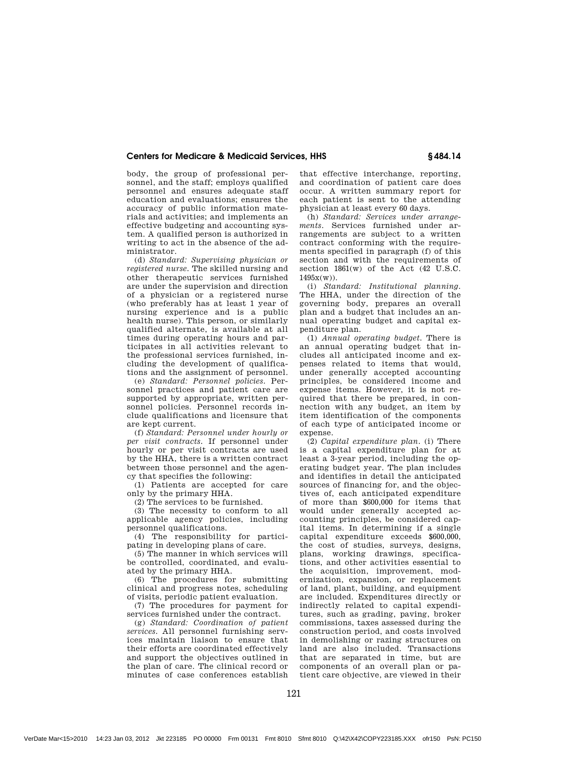body, the group of professional personnel, and the staff; employs qualified personnel and ensures adequate staff education and evaluations; ensures the accuracy of public information materials and activities; and implements an effective budgeting and accounting system. A qualified person is authorized in writing to act in the absence of the administrator.

(d) *Standard: Supervising physician or registered nurse.* The skilled nursing and other therapeutic services furnished are under the supervision and direction of a physician or a registered nurse (who preferably has at least 1 year of nursing experience and is a public health nurse). This person, or similarly qualified alternate, is available at all times during operating hours and participates in all activities relevant to the professional services furnished, including the development of qualifications and the assignment of personnel.

(e) *Standard: Personnel policies.* Personnel practices and patient care are supported by appropriate, written personnel policies. Personnel records include qualifications and licensure that are kept current.

(f) *Standard: Personnel under hourly or per visit contracts.* If personnel under hourly or per visit contracts are used by the HHA, there is a written contract between those personnel and the agency that specifies the following:

(1) Patients are accepted for care only by the primary HHA.

(2) The services to be furnished.

(3) The necessity to conform to all applicable agency policies, including personnel qualifications.

(4) The responsibility for participating in developing plans of care.

(5) The manner in which services will be controlled, coordinated, and evaluated by the primary HHA.

(6) The procedures for submitting clinical and progress notes, scheduling of visits, periodic patient evaluation.

(7) The procedures for payment for services furnished under the contract.

(g) *Standard: Coordination of patient services.* All personnel furnishing services maintain liaison to ensure that their efforts are coordinated effectively and support the objectives outlined in the plan of care. The clinical record or minutes of case conferences establish

that effective interchange, reporting, and coordination of patient care does occur. A written summary report for each patient is sent to the attending physician at least every 60 days.

(h) *Standard: Services under arrangements.* Services furnished under arrangements are subject to a written contract conforming with the requirements specified in paragraph (f) of this section and with the requirements of section 1861(w) of the Act (42 U.S.C.  $1495x(w)$ 

(i) *Standard: Institutional planning.* The HHA, under the direction of the governing body, prepares an overall plan and a budget that includes an annual operating budget and capital expenditure plan.

(1) *Annual operating budget.* There is an annual operating budget that includes all anticipated income and expenses related to items that would, under generally accepted accounting principles, be considered income and expense items. However, it is not required that there be prepared, in connection with any budget, an item by item identification of the components of each type of anticipated income or expense.

(2) *Capital expenditure plan.* (i) There is a capital expenditure plan for at least a 3-year period, including the operating budget year. The plan includes and identifies in detail the anticipated sources of financing for, and the objectives of, each anticipated expenditure of more than \$600,000 for items that would under generally accepted accounting principles, be considered capital items. In determining if a single capital expenditure exceeds \$600,000, the cost of studies, surveys, designs, plans, working drawings, specifications, and other activities essential to the acquisition, improvement, modernization, expansion, or replacement of land, plant, building, and equipment are included. Expenditures directly or indirectly related to capital expenditures, such as grading, paving, broker commissions, taxes assessed during the construction period, and costs involved in demolishing or razing structures on land are also included. Transactions that are separated in time, but are components of an overall plan or patient care objective, are viewed in their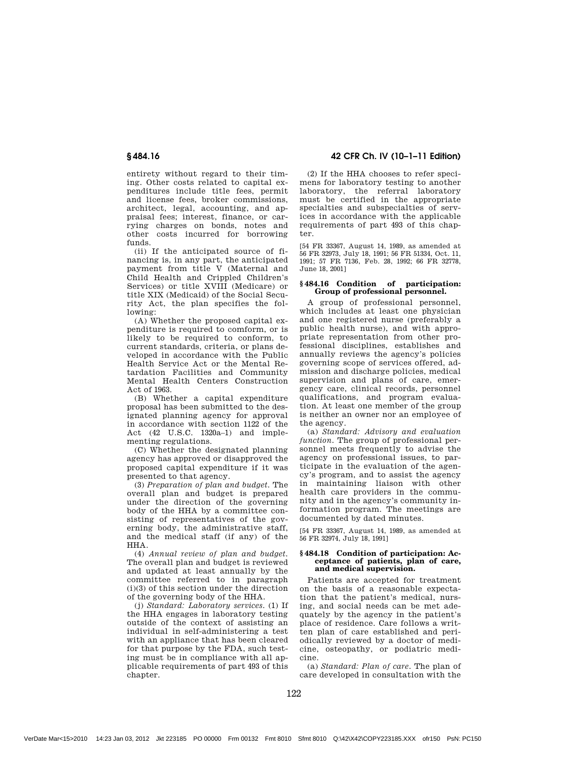entirety without regard to their timing. Other costs related to capital expenditures include title fees, permit and license fees, broker commissions, architect, legal, accounting, and appraisal fees; interest, finance, or carrying charges on bonds, notes and other costs incurred for borrowing funds.

(ii) If the anticipated source of financing is, in any part, the anticipated payment from title V (Maternal and Child Health and Crippled Children's Services) or title XVIII (Medicare) or title XIX (Medicaid) of the Social Security Act, the plan specifies the following:

(A) Whether the proposed capital expenditure is required to comform, or is likely to be required to conform, to current standards, criteria, or plans developed in accordance with the Public Health Service Act or the Mental Retardation Facilities and Community Mental Health Centers Construction Act of 1963.

(B) Whether a capital expenditure proposal has been submitted to the designated planning agency for approval in accordance with section 1122 of the Act (42 U.S.C. 1320a–1) and implementing regulations.

(C) Whether the designated planning agency has approved or disapproved the proposed capital expenditure if it was presented to that agency.

(3) *Preparation of plan and budget.* The overall plan and budget is prepared under the direction of the governing body of the HHA by a committee consisting of representatives of the governing body, the administrative staff, and the medical staff (if any) of the HHA.

(4) *Annual review of plan and budget.* The overall plan and budget is reviewed and updated at least annually by the committee referred to in paragraph (i)(3) of this section under the direction of the governing body of the HHA.

(j) *Standard: Laboratory services.* (1) If the HHA engages in laboratory testing outside of the context of assisting an individual in self-administering a test with an appliance that has been cleared for that purpose by the FDA, such testing must be in compliance with all applicable requirements of part 493 of this chapter.

§ 484.16 42 CFR Ch. IV (10–1–11 Edition)

(2) If the HHA chooses to refer specimens for laboratory testing to another laboratory, the referral laboratory must be certified in the appropriate specialties and subspecialties of services in accordance with the applicable requirements of part 493 of this chapter.

[54 FR 33367, August 14, 1989, as amended at 56 FR 32973, July 18, 1991; 56 FR 51334, Oct. 11, 1991; 57 FR 7136, Feb. 28, 1992; 66 FR 32778, June 18, 2001]

## **§ 484.16 Condition of participation: Group of professional personnel.**

A group of professional personnel, which includes at least one physician and one registered nurse (preferably a public health nurse), and with appropriate representation from other professional disciplines, establishes and annually reviews the agency's policies governing scope of services offered, admission and discharge policies, medical supervision and plans of care, emergency care, clinical records, personnel qualifications, and program evaluation. At least one member of the group is neither an owner nor an employee of the agency.

(a) *Standard: Advisory and evaluation function.* The group of professional personnel meets frequently to advise the agency on professional issues, to participate in the evaluation of the agency's program, and to assist the agency in maintaining liaison with other health care providers in the community and in the agency's community information program. The meetings are documented by dated minutes.

[54 FR 33367, August 14, 1989, as amended at 56 FR 32974, July 18, 1991]

#### **§ 484.18 Condition of participation: Acceptance of patients, plan of care, and medical supervision.**

Patients are accepted for treatment on the basis of a reasonable expectation that the patient's medical, nursing, and social needs can be met adequately by the agency in the patient's place of residence. Care follows a written plan of care established and periodically reviewed by a doctor of medicine, osteopathy, or podiatric medicine.

(a) *Standard: Plan of care.* The plan of care developed in consultation with the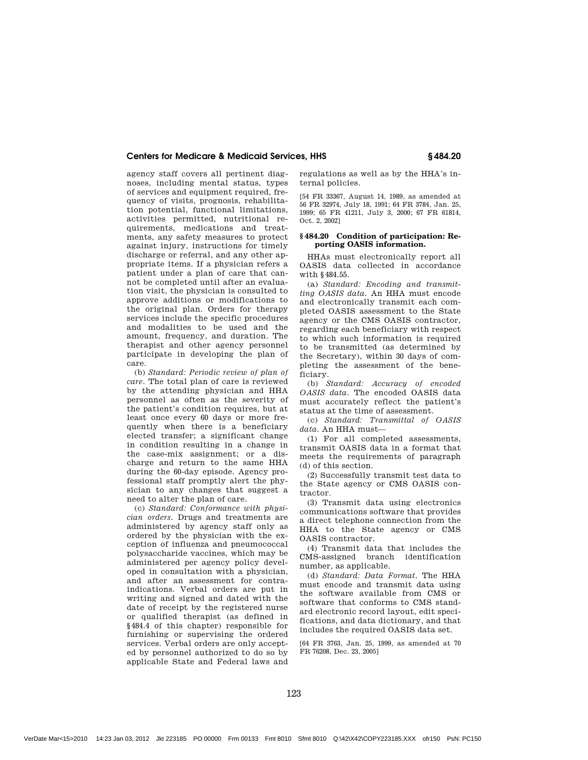agency staff covers all pertinent diagnoses, including mental status, types of services and equipment required, frequency of visits, prognosis, rehabilitation potential, functional limitations, activities permitted, nutritional requirements, medications and treatments, any safety measures to protect against injury, instructions for timely discharge or referral, and any other appropriate items. If a physician refers a patient under a plan of care that cannot be completed until after an evaluation visit, the physician is consulted to approve additions or modifications to the original plan. Orders for therapy services include the specific procedures and modalities to be used and the amount, frequency, and duration. The therapist and other agency personnel participate in developing the plan of care.

(b) *Standard: Periodic review of plan of care.* The total plan of care is reviewed by the attending physician and HHA personnel as often as the severity of the patient's condition requires, but at least once every 60 days or more frequently when there is a beneficiary elected transfer; a significant change in condition resulting in a change in the case-mix assignment; or a discharge and return to the same HHA during the 60-day episode. Agency professional staff promptly alert the physician to any changes that suggest a need to alter the plan of care.

(c) *Standard: Conformance with physician orders.* Drugs and treatments are administered by agency staff only as ordered by the physician with the exception of influenza and pneumococcal polysaccharide vaccines, which may be administered per agency policy developed in consultation with a physician, and after an assessment for contraindications. Verbal orders are put in writing and signed and dated with the date of receipt by the registered nurse or qualified therapist (as defined in §484.4 of this chapter) responsible for furnishing or supervising the ordered services. Verbal orders are only accepted by personnel authorized to do so by applicable State and Federal laws and

regulations as well as by the HHA's internal policies.

[54 FR 33367, August 14, 1989, as amended at 56 FR 32974, July 18, 1991; 64 FR 3784, Jan. 25, 1999; 65 FR 41211, July 3, 2000; 67 FR 61814, Oct. 2, 2002]

## **§ 484.20 Condition of participation: Reporting OASIS information.**

HHAs must electronically report all OASIS data collected in accordance with §484.55.

(a) *Standard: Encoding and transmitting OASIS data.* An HHA must encode and electronically transmit each completed OASIS assessment to the State agency or the CMS OASIS contractor, regarding each beneficiary with respect to which such information is required to be transmitted (as determined by the Secretary), within 30 days of completing the assessment of the beneficiary.

(b) *Standard: Accuracy of encoded OASIS data.* The encoded OASIS data must accurately reflect the patient's status at the time of assessment.

(c) *Standard: Transmittal of OASIS data.* An HHA must—

(1) For all completed assessments, transmit OASIS data in a format that meets the requirements of paragraph (d) of this section.

(2) Successfully transmit test data to the State agency or CMS OASIS contractor.

(3) Transmit data using electronics communications software that provides a direct telephone connection from the HHA to the State agency or CMS OASIS contractor.

(4) Transmit data that includes the CMS-assigned branch identification number, as applicable.

(d) *Standard: Data Format.* The HHA must encode and transmit data using the software available from CMS or software that conforms to CMS standard electronic record layout, edit specifications, and data dictionary, and that includes the required OASIS data set.

[64 FR 3763, Jan. 25, 1999, as amended at 70 FR 76208, Dec. 23, 2005]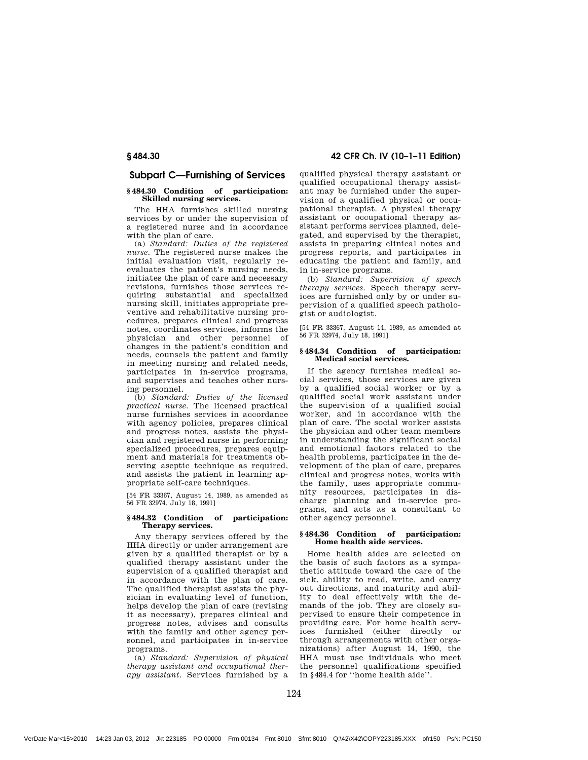# Subpart C—Furnishing of Services

## **§ 484.30 Condition of participation: Skilled nursing services.**

The HHA furnishes skilled nursing services by or under the supervision of a registered nurse and in accordance with the plan of care.

(a) *Standard: Duties of the registered nurse.* The registered nurse makes the initial evaluation visit, regularly reevaluates the patient's nursing needs, initiates the plan of care and necessary revisions, furnishes those services requiring substantial and specialized nursing skill, initiates appropriate preventive and rehabilitative nursing procedures, prepares clinical and progress notes, coordinates services, informs the physician and other personnel of changes in the patient's condition and needs, counsels the patient and family in meeting nursing and related needs, participates in in-service programs, and supervises and teaches other nursing personnel.

(b) *Standard: Duties of the licensed practical nurse.* The licensed practical nurse furnishes services in accordance with agency policies, prepares clinical and progress notes, assists the physician and registered nurse in performing specialized procedures, prepares equipment and materials for treatments observing aseptic technique as required, and assists the patient in learning appropriate self-care techniques.

[54 FR 33367, August 14, 1989, as amended at 56 FR 32974, July 18, 1991]

## **§ 484.32 Condition of participation: Therapy services.**

Any therapy services offered by the HHA directly or under arrangement are given by a qualified therapist or by a qualified therapy assistant under the supervision of a qualified therapist and in accordance with the plan of care. The qualified therapist assists the physician in evaluating level of function, helps develop the plan of care (revising it as necessary), prepares clinical and progress notes, advises and consults with the family and other agency personnel, and participates in in-service programs.

(a) *Standard: Supervision of physical therapy assistant and occupational therapy assistant.* Services furnished by a

§ 484.30 42 CFR Ch. IV (10–1–11 Edition)

qualified physical therapy assistant or qualified occupational therapy assistant may be furnished under the supervision of a qualified physical or occupational therapist. A physical therapy assistant or occupational therapy assistant performs services planned, delegated, and supervised by the therapist, assists in preparing clinical notes and progress reports, and participates in educating the patient and family, and in in-service programs.

(b) *Standard: Supervision of speech therapy services.* Speech therapy services are furnished only by or under supervision of a qualified speech pathologist or audiologist.

[54 FR 33367, August 14, 1989, as amended at 56 FR 32974, July 18, 1991]

#### **§ 484.34 Condition of participation: Medical social services.**

If the agency furnishes medical social services, those services are given by a qualified social worker or by a qualified social work assistant under the supervision of a qualified social worker, and in accordance with the plan of care. The social worker assists the physician and other team members in understanding the significant social and emotional factors related to the health problems, participates in the development of the plan of care, prepares clinical and progress notes, works with the family, uses appropriate community resources, participates in discharge planning and in-service programs, and acts as a consultant to other agency personnel.

#### **§ 484.36 Condition of participation: Home health aide services.**

Home health aides are selected on the basis of such factors as a sympathetic attitude toward the care of the sick, ability to read, write, and carry out directions, and maturity and ability to deal effectively with the demands of the job. They are closely supervised to ensure their competence in providing care. For home health services furnished (either directly or through arrangements with other organizations) after August 14, 1990, the HHA must use individuals who meet the personnel qualifications specified in §484.4 for ''home health aide''.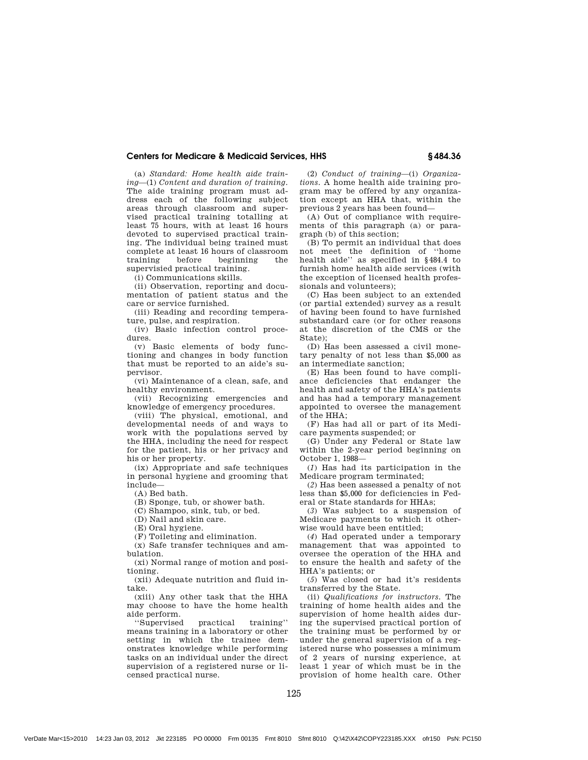(a) *Standard: Home health aide training*—(1) *Content and duration of training.* The aide training program must address each of the following subject areas through classroom and supervised practical training totalling at least 75 hours, with at least 16 hours devoted to supervised practical training. The individual being trained must complete at least 16 hours of classroom training before beginning the supervisied practical training.

(i) Communications skills.

(ii) Observation, reporting and documentation of patient status and the care or service furnished.

(iii) Reading and recording temperature, pulse, and respiration.

(iv) Basic infection control procedures.

(v) Basic elements of body functioning and changes in body function that must be reported to an aide's supervisor.

(vi) Maintenance of a clean, safe, and healthy environment.

(vii) Recognizing emergencies and knowledge of emergency procedures.

(viii) The physical, emotional, and developmental needs of and ways to work with the populations served by the HHA, including the need for respect for the patient, his or her privacy and his or her property.

(ix) Appropriate and safe techniques in personal hygiene and grooming that include—

(A) Bed bath.

(B) Sponge, tub, or shower bath.

(C) Shampoo, sink, tub, or bed.

(D) Nail and skin care.

(E) Oral hygiene.

(F) Toileting and elimination.

(x) Safe transfer techniques and ambulation.

(xi) Normal range of motion and positioning.

(xii) Adequate nutrition and fluid intake.

(xiii) Any other task that the HHA may choose to have the home health aide perform.

''Supervised practical training'' means training in a laboratory or other setting in which the trainee demonstrates knowledge while performing tasks on an individual under the direct supervision of a registered nurse or licensed practical nurse.

(2) *Conduct of training*—(i) *Organizations.* A home health aide training program may be offered by any organization except an HHA that, within the previous 2 years has been found—

(A) Out of compliance with requirements of this paragraph (a) or paragraph (b) of this section;

(B) To permit an individual that does not meet the definition of ''home health aide'' as specified in §484.4 to furnish home health aide services (with the exception of licensed health professionals and volunteers);

(C) Has been subject to an extended (or partial extended) survey as a result of having been found to have furnished substandard care (or for other reasons at the discretion of the CMS or the State);

(D) Has been assessed a civil monetary penalty of not less than \$5,000 as an intermediate sanction;

(E) Has been found to have compliance deficiencies that endanger the health and safety of the HHA's patients and has had a temporary management appointed to oversee the management of the HHA;

(F) Has had all or part of its Medicare payments suspended; or

(G) Under any Federal or State law within the 2-year period beginning on October 1, 1988—

(*1*) Has had its participation in the Medicare program terminated;

(*2*) Has been assessed a penalty of not less than \$5,000 for deficiencies in Federal or State standards for HHAs;

(*3*) Was subject to a suspension of Medicare payments to which it otherwise would have been entitled;

(*4*) Had operated under a temporary management that was appointed to oversee the operation of the HHA and to ensure the health and safety of the HHA's patients; or

(*5*) Was closed or had it's residents transferred by the State.

(ii) *Qualifications for instructors.* The training of home health aides and the supervision of home health aides during the supervised practical portion of the training must be performed by or under the general supervision of a registered nurse who possesses a minimum of 2 years of nursing experience, at least 1 year of which must be in the provision of home health care. Other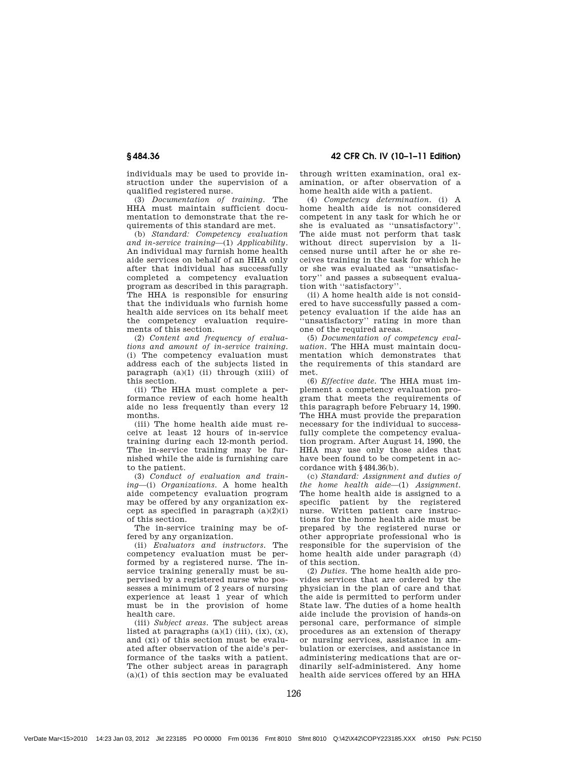individuals may be used to provide instruction under the supervision of a qualified registered nurse.

(3) *Documentation of training.* The HHA must maintain sufficient documentation to demonstrate that the requirements of this standard are met.

(b) *Standard: Competency evaluation and in-service training*—(1) *Applicability.* An individual may furnish home health aide services on behalf of an HHA only after that individual has successfully completed a competency evaluation program as described in this paragraph. .<br>The HHA is responsible for ensuring that the individuals who furnish home health aide services on its behalf meet the competency evaluation requirements of this section.

(2) *Content and frequency of evaluations and amount of in-service training.* (i) The competency evaluation must address each of the subjects listed in paragraph  $(a)(1)$  (ii) through (xiii) of this section.

(ii) The HHA must complete a performance review of each home health aide no less frequently than every 12 months.

(iii) The home health aide must receive at least 12 hours of in-service training during each 12-month period. The in-service training may be furnished while the aide is furnishing care to the patient.

(3) *Conduct of evaluation and training*—(i) *Organizations.* A home health aide competency evaluation program may be offered by any organization except as specified in paragraph  $(a)(2)(i)$ of this section.

The in-service training may be offered by any organization.

(ii) *Evaluators and instructors.* The competency evaluation must be performed by a registered nurse. The inservice training generally must be supervised by a registered nurse who possesses a minimum of 2 years of nursing experience at least 1 year of which must be in the provision of home health care.

(iii) *Subject areas.* The subject areas listed at paragraphs  $(a)(1)$  (iii),  $(ix)$ ,  $(x)$ , and (xi) of this section must be evaluated after observation of the aide's performance of the tasks with a patient. The other subject areas in paragraph  $(a)(1)$  of this section may be evaluated

§ 484.36 42 CFR Ch. IV (10–1–11 Edition)

through written examination, oral examination, or after observation of a home health aide with a patient.

(4) *Competency determination.* (i) A home health aide is not considered competent in any task for which he or she is evaluated as ''unsatisfactory''. The aide must not perform that task without direct supervision by a licensed nurse until after he or she receives training in the task for which he or she was evaluated as ''unsatisfactory'' and passes a subsequent evaluation with ''satisfactory''.

(ii) A home health aide is not considered to have successfully passed a competency evaluation if the aide has an ''unsatisfactory'' rating in more than one of the required areas.

(5) *Documentation of competency evaluation.* The HHA must maintain documentation which demonstrates that the requirements of this standard are met.

(6) *Effective date.* The HHA must implement a competency evaluation program that meets the requirements of this paragraph before February 14, 1990. The HHA must provide the preparation necessary for the individual to successfully complete the competency evaluation program. After August 14, 1990, the HHA may use only those aides that have been found to be competent in accordance with §484.36(b).

(c) *Standard: Assignment and duties of the home health aide*—(1) *Assignment.* The home health aide is assigned to a specific patient by the registered nurse. Written patient care instructions for the home health aide must be prepared by the registered nurse or other appropriate professional who is responsible for the supervision of the home health aide under paragraph (d) of this section.

(2) *Duties.* The home health aide provides services that are ordered by the physician in the plan of care and that the aide is permitted to perform under State law. The duties of a home health aide include the provision of hands-on personal care, performance of simple procedures as an extension of therapy or nursing services, assistance in ambulation or exercises, and assistance in administering medications that are ordinarily self-administered. Any home health aide services offered by an HHA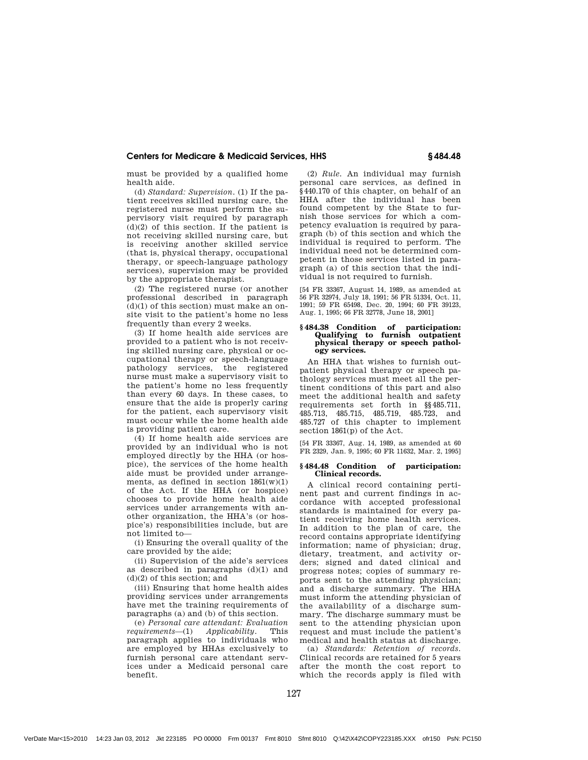must be provided by a qualified home health aide.

(d) *Standard: Supervision.* (1) If the patient receives skilled nursing care, the registered nurse must perform the supervisory visit required by paragraph (d)(2) of this section. If the patient is not receiving skilled nursing care, but is receiving another skilled service (that is, physical therapy, occupational therapy, or speech-language pathology services), supervision may be provided by the appropriate therapist.

(2) The registered nurse (or another professional described in paragraph  $(d)(1)$  of this section) must make an onsite visit to the patient's home no less frequently than every 2 weeks.

(3) If home health aide services are provided to a patient who is not receiving skilled nursing care, physical or occupational therapy or speech-language pathology services, the registered nurse must make a supervisory visit to the patient's home no less frequently than every 60 days. In these cases, to ensure that the aide is properly caring for the patient, each supervisory visit must occur while the home health aide is providing patient care.

(4) If home health aide services are provided by an individual who is not employed directly by the HHA (or hospice), the services of the home health aide must be provided under arrangements, as defined in section  $1861(w)(1)$ of the Act. If the HHA (or hospice) chooses to provide home health aide services under arrangements with another organization, the HHA's (or hospice's) responsibilities include, but are not limited to—

(i) Ensuring the overall quality of the care provided by the aide;

(ii) Supervision of the aide's services as described in paragraphs (d)(1) and (d)(2) of this section; and

(iii) Ensuring that home health aides providing services under arrangements have met the training requirements of paragraphs (a) and (b) of this section.

(e) *Personal care attendant: Evaluation requirements*—(1) *Applicability.* paragraph applies to individuals who are employed by HHAs exclusively to furnish personal care attendant services under a Medicaid personal care benefit.

(2) *Rule.* An individual may furnish personal care services, as defined in §440.170 of this chapter, on behalf of an HHA after the individual has been found competent by the State to furnish those services for which a competency evaluation is required by paragraph (b) of this section and which the individual is required to perform. The individual need not be determined competent in those services listed in paragraph (a) of this section that the individual is not required to furnish.

[54 FR 33367, August 14, 1989, as amended at 56 FR 32974, July 18, 1991; 56 FR 51334, Oct. 11, 1991; 59 FR 65498, Dec. 20, 1994; 60 FR 39123, Aug. 1, 1995; 66 FR 32778, June 18, 2001]

#### **§ 484.38 Condition of participation: Qualifying to furnish outpatient physical therapy or speech pathology services.**

An HHA that wishes to furnish outpatient physical therapy or speech pathology services must meet all the pertinent conditions of this part and also meet the additional health and safety requirements set forth in §§485.711, 485.713, 485.715, 485.719, 485.723, and 485.727 of this chapter to implement section 1861(p) of the Act.

[54 FR 33367, Aug. 14, 1989, as amended at 60 FR 2329, Jan. 9, 1995; 60 FR 11632, Mar. 2, 1995]

## **§ 484.48 Condition of participation: Clinical records.**

A clinical record containing pertinent past and current findings in accordance with accepted professional standards is maintained for every patient receiving home health services. In addition to the plan of care, the record contains appropriate identifying information; name of physician; drug, dietary, treatment, and activity orders; signed and dated clinical and progress notes; copies of summary reports sent to the attending physician; and a discharge summary. The HHA must inform the attending physician of the availability of a discharge summary. The discharge summary must be sent to the attending physician upon request and must include the patient's medical and health status at discharge.

(a) *Standards: Retention of records.* Clinical records are retained for 5 years after the month the cost report to which the records apply is filed with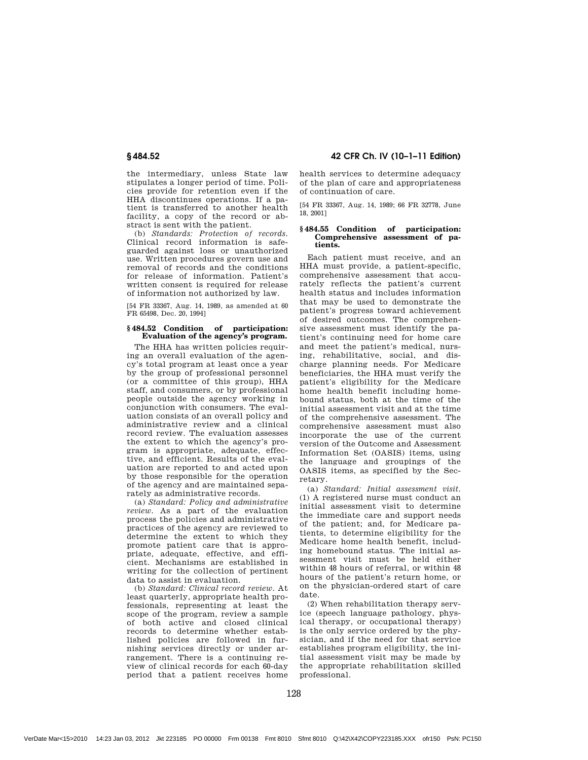the intermediary, unless State law stipulates a longer period of time. Policies provide for retention even if the HHA discontinues operations. If a patient is transferred to another health facility, a copy of the record or abstract is sent with the patient.

(b) *Standards: Protection of records.* Clinical record information is safeguarded against loss or unauthorized use. Written procedures govern use and removal of records and the conditions for release of information. Patient's written consent is required for release of information not authorized by law.

[54 FR 33367, Aug. 14, 1989, as amended at 60 FR 65498, Dec. 20, 1994]

#### **§ 484.52 Condition of participation: Evaluation of the agency's program.**

The HHA has written policies requiring an overall evaluation of the agency's total program at least once a year by the group of professional personnel (or a committee of this group), HHA staff, and consumers, or by professional people outside the agency working in conjunction with consumers. The evaluation consists of an overall policy and administrative review and a clinical record review. The evaluation assesses the extent to which the agency's program is appropriate, adequate, effective, and efficient. Results of the evaluation are reported to and acted upon by those responsible for the operation of the agency and are maintained separately as administrative records.

(a) *Standard: Policy and administrative review.* As a part of the evaluation process the policies and administrative practices of the agency are reviewed to determine the extent to which they promote patient care that is appropriate, adequate, effective, and efficient. Mechanisms are established in writing for the collection of pertinent data to assist in evaluation.

(b) *Standard: Clinical record review.* At least quarterly, appropriate health professionals, representing at least the scope of the program, review a sample of both active and closed clinical records to determine whether established policies are followed in furnishing services directly or under arrangement. There is a continuing review of clinical records for each 60-day period that a patient receives home

§ 484.52 42 CFR Ch. IV (10–1–11 Edition)

health services to determine adequacy of the plan of care and appropriateness of continuation of care.

[54 FR 33367, Aug. 14, 1989; 66 FR 32778, June 18, 2001]

## **§ 484.55 Condition of participation: Comprehensive assessment of patients.**

Each patient must receive, and an HHA must provide, a patient-specific, comprehensive assessment that accurately reflects the patient's current health status and includes information that may be used to demonstrate the patient's progress toward achievement of desired outcomes. The comprehensive assessment must identify the patient's continuing need for home care and meet the patient's medical, nursing, rehabilitative, social, and discharge planning needs. For Medicare beneficiaries, the HHA must verify the patient's eligibility for the Medicare home health benefit including homebound status, both at the time of the initial assessment visit and at the time of the comprehensive assessment. The comprehensive assessment must also incorporate the use of the current version of the Outcome and Assessment Information Set (OASIS) items, using the language and groupings of the OASIS items, as specified by the Secretary.

(a) *Standard: Initial assessment visit.* (1) A registered nurse must conduct an initial assessment visit to determine the immediate care and support needs of the patient; and, for Medicare patients, to determine eligibility for the Medicare home health benefit, including homebound status. The initial assessment visit must be held either within 48 hours of referral, or within 48 hours of the patient's return home, or on the physician-ordered start of care date.

(2) When rehabilitation therapy service (speech language pathology, physical therapy, or occupational therapy) is the only service ordered by the physician, and if the need for that service establishes program eligibility, the initial assessment visit may be made by the appropriate rehabilitation skilled professional.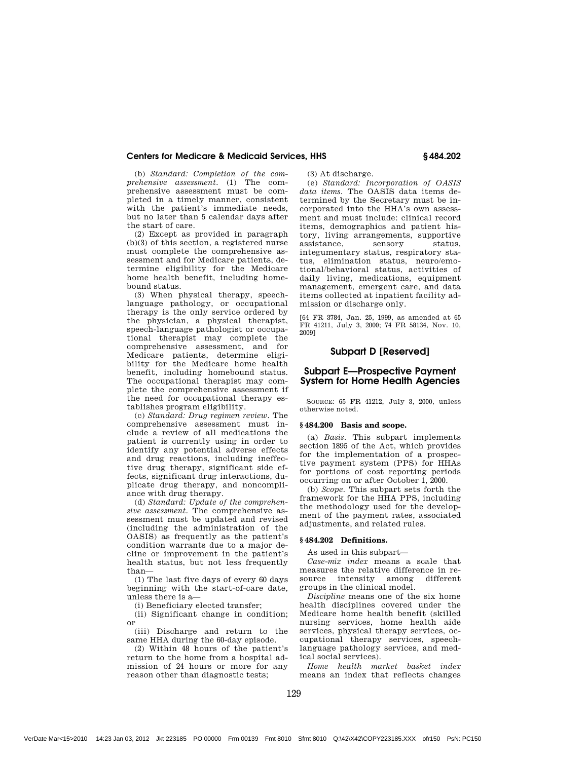(b) *Standard: Completion of the comprehensive assessment.* (1) The comprehensive assessment must be completed in a timely manner, consistent with the patient's immediate needs, but no later than 5 calendar days after the start of care.

(2) Except as provided in paragraph (b)(3) of this section, a registered nurse must complete the comprehensive assessment and for Medicare patients, determine eligibility for the Medicare home health benefit, including homebound status.

(3) When physical therapy, speechlanguage pathology, or occupational therapy is the only service ordered by the physician, a physical therapist, speech-language pathologist or occupational therapist may complete the comprehensive assessment, and for Medicare patients, determine eligibility for the Medicare home health benefit, including homebound status. The occupational therapist may complete the comprehensive assessment if the need for occupational therapy establishes program eligibility.

(c) *Standard: Drug regimen review.* The comprehensive assessment must include a review of all medications the patient is currently using in order to identify any potential adverse effects and drug reactions, including ineffective drug therapy, significant side effects, significant drug interactions, duplicate drug therapy, and noncompliance with drug therapy.

(d) *Standard: Update of the comprehensive assessment.* The comprehensive assessment must be updated and revised (including the administration of the OASIS) as frequently as the patient's condition warrants due to a major decline or improvement in the patient's health status, but not less frequently than—

(1) The last five days of every 60 days beginning with the start-of-care date, unless there is a—

(i) Beneficiary elected transfer;

(ii) Significant change in condition; or

(iii) Discharge and return to the same HHA during the 60-day episode.

(2) Within 48 hours of the patient's return to the home from a hospital admission of 24 hours or more for any reason other than diagnostic tests;

(3) At discharge.

(e) *Standard: Incorporation of OASIS data items.* The OASIS data items determined by the Secretary must be incorporated into the HHA's own assessment and must include: clinical record items, demographics and patient history, living arrangements, supportive assistance, integumentary status, respiratory status, elimination status, neuro/emotional/behavioral status, activities of daily living, medications, equipment management, emergent care, and data items collected at inpatient facility admission or discharge only.

[64 FR 3784, Jan. 25, 1999, as amended at 65 FR 41211, July 3, 2000; 74 FR 58134, Nov. 10, 2009]

## Subpart D **[**Reserved**]**

## Subpart E—Prospective Payment System for Home Health Agencies

SOURCE: 65 FR 41212, July 3, 2000, unless otherwise noted.

#### **§ 484.200 Basis and scope.**

(a) *Basis.* This subpart implements section 1895 of the Act, which provides for the implementation of a prospective payment system (PPS) for HHAs for portions of cost reporting periods occurring on or after October 1, 2000.

(b) *Scope.* This subpart sets forth the framework for the HHA PPS, including the methodology used for the development of the payment rates, associated adjustments, and related rules.

## **§ 484.202 Definitions.**

As used in this subpart—

*Case-mix index* means a scale that measures the relative difference in re-<br>source intensity among different source intensity among groups in the clinical model.

*Discipline* means one of the six home health disciplines covered under the Medicare home health benefit (skilled nursing services, home health aide services, physical therapy services, occupational therapy services, speechlanguage pathology services, and medical social services).

*Home health market basket index* means an index that reflects changes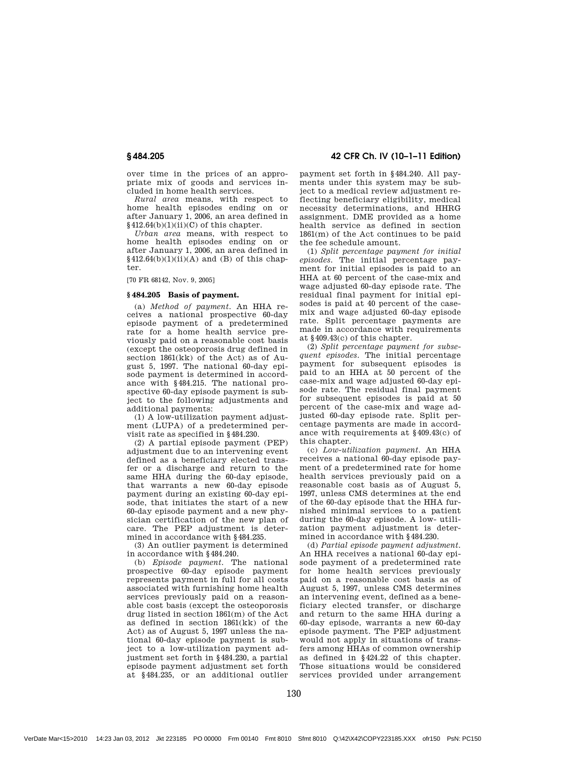over time in the prices of an appropriate mix of goods and services included in home health services.

*Rural area* means, with respect to home health episodes ending on or after January 1, 2006, an area defined in  $§412.64(b)(1)(ii)(C)$  of this chapter.

*Urban area* means, with respect to home health episodes ending on or after January 1, 2006, an area defined in  $§412.64(b)(1)(ii)(A)$  and (B) of this chapter.

[70 FR 68142, Nov. 9, 2005]

#### **§ 484.205 Basis of payment.**

(a) *Method of payment.* An HHA receives a national prospective 60-day episode payment of a predetermined rate for a home health service previously paid on a reasonable cost basis (except the osteoporosis drug defined in section 1861(kk) of the Act) as of August 5, 1997. The national 60-day episode payment is determined in accordance with §484.215. The national prospective 60-day episode payment is subject to the following adjustments and additional payments:

(1) A low-utilization payment adjustment (LUPA) of a predetermined pervisit rate as specified in §484.230.

(2) A partial episode payment (PEP) adjustment due to an intervening event defined as a beneficiary elected transfer or a discharge and return to the same HHA during the 60-day episode, that warrants a new 60-day episode payment during an existing 60-day episode, that initiates the start of a new 60-day episode payment and a new physician certification of the new plan of care. The PEP adjustment is determined in accordance with §484.235.

(3) An outlier payment is determined in accordance with §484.240.

(b) *Episode payment.* The national prospective 60-day episode payment represents payment in full for all costs associated with furnishing home health services previously paid on a reasonable cost basis (except the osteoporosis drug listed in section 1861(m) of the Act as defined in section 1861(kk) of the Act) as of August 5, 1997 unless the national 60-day episode payment is subject to a low-utilization payment adjustment set forth in §484.230, a partial episode payment adjustment set forth at §484.235, or an additional outlier

§ 484.205 42 CFR Ch. IV (10–1–11 Edition)

payment set forth in §484.240. All payments under this system may be subject to a medical review adjustment reflecting beneficiary eligibility, medical necessity determinations, and HHRG assignment. DME provided as a home health service as defined in section 1861(m) of the Act continues to be paid the fee schedule amount.

(1) *Split percentage payment for initial episodes.* The initial percentage payment for initial episodes is paid to an HHA at 60 percent of the case-mix and wage adjusted 60-day episode rate. The residual final payment for initial episodes is paid at 40 percent of the casemix and wage adjusted 60-day episode rate. Split percentage payments are made in accordance with requirements at §409.43(c) of this chapter.

(2) *Split percentage payment for subsequent episodes.* The initial percentage payment for subsequent episodes is paid to an HHA at 50 percent of the case-mix and wage adjusted 60-day episode rate. The residual final payment for subsequent episodes is paid at 50 percent of the case-mix and wage adjusted 60-day episode rate. Split percentage payments are made in accordance with requirements at §409.43(c) of this chapter.

(c) *Low-utilization payment.* An HHA receives a national 60-day episode payment of a predetermined rate for home health services previously paid on a reasonable cost basis as of August 5, 1997, unless CMS determines at the end of the 60-day episode that the HHA furnished minimal services to a patient during the 60-day episode. A low- utilization payment adjustment is determined in accordance with §484.230.

(d) *Partial episode payment adjustment.* An HHA receives a national 60-day episode payment of a predetermined rate for home health services previously paid on a reasonable cost basis as of August 5, 1997, unless CMS determines an intervening event, defined as a beneficiary elected transfer, or discharge and return to the same HHA during a 60-day episode, warrants a new 60-day episode payment. The PEP adjustment would not apply in situations of transfers among HHAs of common ownership as defined in §424.22 of this chapter. Those situations would be considered services provided under arrangement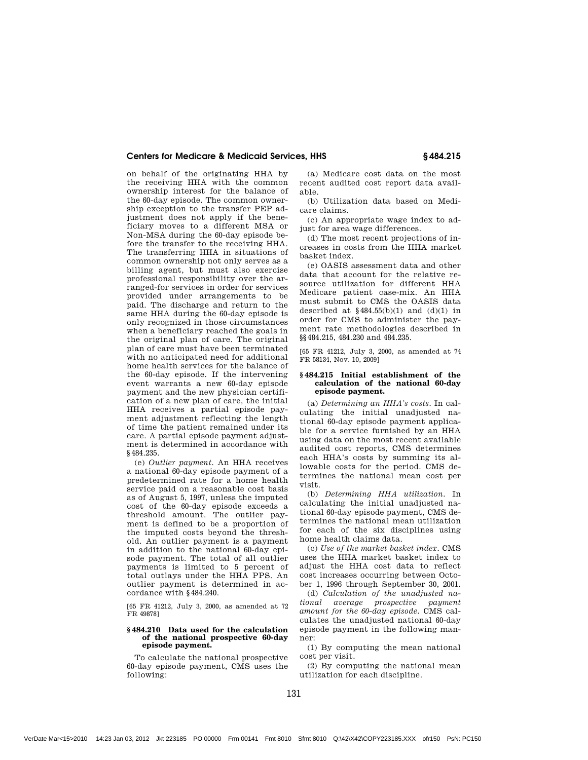on behalf of the originating HHA by the receiving HHA with the common ownership interest for the balance of the 60-day episode. The common ownership exception to the transfer PEP adjustment does not apply if the beneficiary moves to a different MSA or Non-MSA during the 60-day episode before the transfer to the receiving HHA. The transferring HHA in situations of common ownership not only serves as a billing agent, but must also exercise professional responsibility over the arranged-for services in order for services provided under arrangements to be paid. The discharge and return to the same HHA during the 60-day episode is only recognized in those circumstances when a beneficiary reached the goals in the original plan of care. The original plan of care must have been terminated with no anticipated need for additional home health services for the balance of the 60-day episode. If the intervening event warrants a new 60-day episode payment and the new physician certification of a new plan of care, the initial HHA receives a partial episode payment adjustment reflecting the length of time the patient remained under its care. A partial episode payment adjustment is determined in accordance with §484.235.

(e) *Outlier payment.* An HHA receives a national 60-day episode payment of a predetermined rate for a home health service paid on a reasonable cost basis as of August 5, 1997, unless the imputed cost of the 60-day episode exceeds a threshold amount. The outlier payment is defined to be a proportion of the imputed costs beyond the threshold. An outlier payment is a payment in addition to the national 60-day episode payment. The total of all outlier payments is limited to 5 percent of total outlays under the HHA PPS. An outlier payment is determined in accordance with §484.240.

[65 FR 41212, July 3, 2000, as amended at 72 FR 49878]

#### **§ 484.210 Data used for the calculation of the national prospective 60-day episode payment.**

To calculate the national prospective 60-day episode payment, CMS uses the following:

(a) Medicare cost data on the most recent audited cost report data available.

(b) Utilization data based on Medicare claims.

(c) An appropriate wage index to adjust for area wage differences.

(d) The most recent projections of increases in costs from the HHA market basket index.

(e) OASIS assessment data and other data that account for the relative resource utilization for different HHA Medicare patient case-mix. An HHA must submit to CMS the OASIS data described at  $§484.55(b)(1)$  and  $(d)(1)$  in order for CMS to administer the payment rate methodologies described in §§484.215, 484.230 and 484.235.

[65 FR 41212, July 3, 2000, as amended at 74 FR 58134, Nov. 10, 2009]

### **§ 484.215 Initial establishment of the calculation of the national 60-day episode payment.**

(a) *Determining an HHA's costs.* In calculating the initial unadjusted national 60-day episode payment applicable for a service furnished by an HHA using data on the most recent available audited cost reports, CMS determines each HHA's costs by summing its allowable costs for the period. CMS determines the national mean cost per visit.

(b) *Determining HHA utilization.* In calculating the initial unadjusted national 60-day episode payment, CMS determines the national mean utilization for each of the six disciplines using home health claims data.

(c) *Use of the market basket index.* CMS uses the HHA market basket index to adjust the HHA cost data to reflect cost increases occurring between October 1, 1996 through September 30, 2001.

(d) *Calculation of the unadjusted national average prospective payment amount for the 60-day episode.* CMS calculates the unadjusted national 60-day episode payment in the following manner:

(1) By computing the mean national cost per visit.

(2) By computing the national mean utilization for each discipline.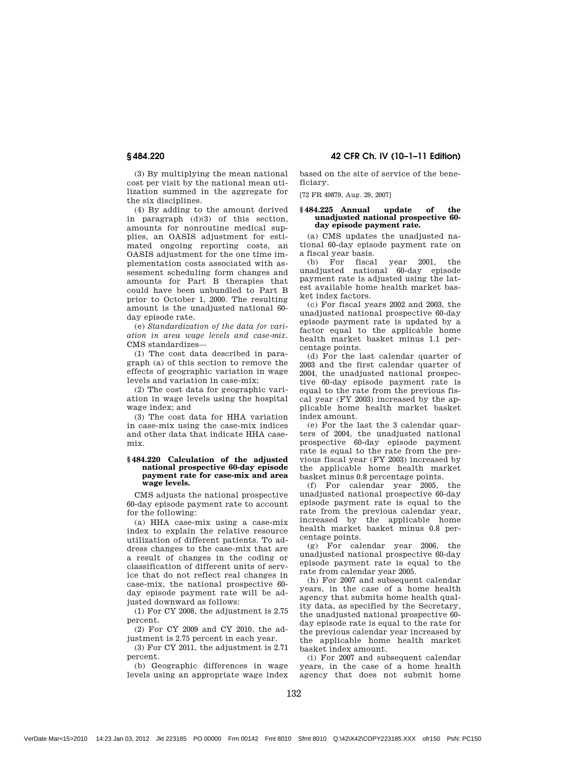(3) By multiplying the mean national cost per visit by the national mean utilization summed in the aggregate for the six disciplines.

(4) By adding to the amount derived in paragraph (d)(3) of this section, amounts for nonroutine medical supplies, an OASIS adjustment for estimated ongoing reporting costs, an OASIS adjustment for the one time implementation costs associated with assessment scheduling form changes and amounts for Part B therapies that could have been unbundled to Part B prior to October 1, 2000. The resulting amount is the unadjusted national 60 day episode rate.

(e) *Standardization of the data for variation in area wage levels and case-mix.* CMS standardizes—

(1) The cost data described in paragraph (a) of this section to remove the effects of geographic variation in wage levels and variation in case-mix;

(2) The cost data for geographic variation in wage levels using the hospital wage index; and

(3) The cost data for HHA variation in case-mix using the case-mix indices and other data that indicate HHA casemix.

#### **§ 484.220 Calculation of the adjusted national prospective 60-day episode payment rate for case-mix and area wage levels.**

CMS adjusts the national prospective 60-day episode payment rate to account for the following:

(a) HHA case-mix using a case-mix index to explain the relative resource utilization of different patients. To address changes to the case-mix that are a result of changes in the coding or classification of different units of service that do not reflect real changes in case-mix, the national prospective 60 day episode payment rate will be adjusted downward as follows:

(1) For CY 2008, the adjustment is 2.75 percent.

(2) For CY 2009 and CY 2010, the adjustment is 2.75 percent in each year.

(3) For CY 2011, the adjustment is 2.71 percent.

(b) Geographic differences in wage levels using an appropriate wage index

## § 484.220 42 CFR Ch. IV (10–1–11 Edition)

based on the site of service of the beneficiary.

[72 FR 49879, Aug. 29, 2007]

#### **§ 484.225 Annual update of the unadjusted national prospective 60 day episode payment rate.**

(a) CMS updates the unadjusted national 60-day episode payment rate on a fiscal year basis.

(b) For fiscal year 2001, the unadjusted national 60-day episode payment rate is adjusted using the latest available home health market basket index factors.

(c) For fiscal years 2002 and 2003, the unadjusted national prospective 60-day episode payment rate is updated by a factor equal to the applicable home health market basket minus 1.1 percentage points.

(d) For the last calendar quarter of 2003 and the first calendar quarter of 2004, the unadjusted national prospective 60-day episode payment rate is equal to the rate from the previous fiscal year (FY 2003) increased by the applicable home health market basket index amount.

(e) For the last the 3 calendar quarters of 2004, the unadjusted national prospective 60-day episode payment rate is equal to the rate from the previous fiscal year (FY 2003) increased by the applicable home health market basket minus 0.8 percentage points.

(f) For calendar year 2005, the unadjusted national prospective 60-day episode payment rate is equal to the rate from the previous calendar year, increased by the applicable home health market basket minus 0.8 percentage points.

(g) For calendar year 2006, the unadjusted national prospective 60-day episode payment rate is equal to the rate from calendar year 2005.

(h) For 2007 and subsequent calendar years, in the case of a home health agency that submits home health quality data, as specified by the Secretary, the unadjusted national prospective 60 day episode rate is equal to the rate for the previous calendar year increased by the applicable home health market basket index amount.

(i) For 2007 and subsequent calendar years, in the case of a home health agency that does not submit home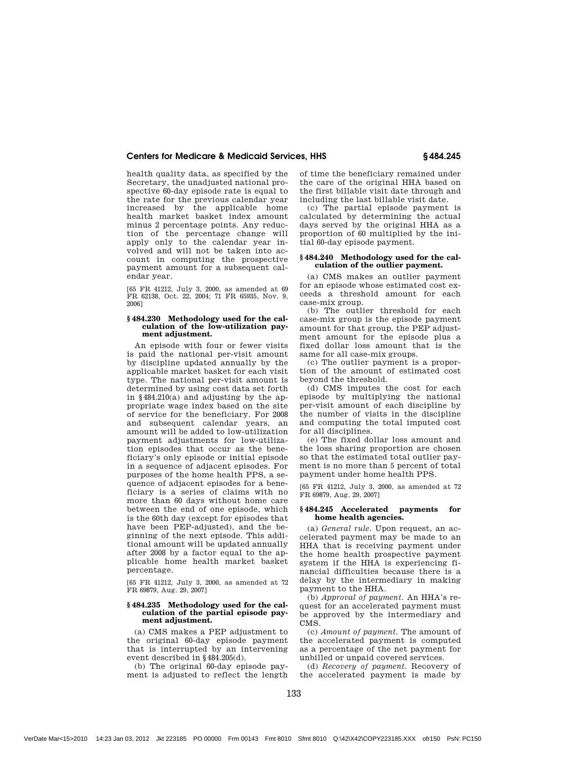health quality data, as specified by the Secretary, the unadjusted national prospective 60-day episode rate is equal to the rate for the previous calendar year increased by the applicable home health market basket index amount minus 2 percentage points. Any reduction of the percentage change will apply only to the calendar year involved and will not be taken into account in computing the prospective payment amount for a subsequent calendar year.

[65 FR 41212, July 3, 2000, as amended at 69 FR 62138, Oct. 22, 2004; 71 FR 65935, Nov. 9, 2006]

#### **§ 484.230 Methodology used for the calculation of the low-utilization payment adjustment.**

An episode with four or fewer visits is paid the national per-visit amount by discipline updated annually by the applicable market basket for each visit type. The national per-visit amount is determined by using cost data set forth in §484.210(a) and adjusting by the appropriate wage index based on the site of service for the beneficiary. For 2008 and subsequent calendar years, an amount will be added to low-utilization payment adjustments for low-utilization episodes that occur as the beneficiary's only episode or initial episode in a sequence of adjacent episodes. For purposes of the home health PPS, a sequence of adjacent episodes for a beneficiary is a series of claims with no more than 60 days without home care between the end of one episode, which is the 60th day (except for episodes that have been PEP-adjusted), and the beginning of the next episode. This additional amount will be updated annually after 2008 by a factor equal to the applicable home health market basket percentage.

[65 FR 41212, July 3, 2000, as amended at 72 FR 69879, Aug. 29, 2007]

#### **§ 484.235 Methodology used for the calculation of the partial episode payment adjustment.**

(a) CMS makes a PEP adjustment to the original 60-day episode payment that is interrupted by an intervening event described in §484.205(d).

(b) The original 60-day episode payment is adjusted to reflect the length of time the beneficiary remained under the care of the original HHA based on the first billable visit date through and including the last billable visit date.

(c) The partial episode payment is calculated by determining the actual days served by the original HHA as a proportion of 60 multiplied by the initial 60-day episode payment.

#### **§ 484.240 Methodology used for the calculation of the outlier payment.**

(a) CMS makes an outlier payment for an episode whose estimated cost exceeds a threshold amount for each case-mix group.

(b) The outlier threshold for each case-mix group is the episode payment amount for that group, the PEP adjustment amount for the episode plus a fixed dollar loss amount that is the same for all case-mix groups.

(c) The outlier payment is a proportion of the amount of estimated cost beyond the threshold.

(d) CMS imputes the cost for each episode by multiplying the national per-visit amount of each discipline by the number of visits in the discipline and computing the total imputed cost for all disciplines.

(e) The fixed dollar loss amount and the loss sharing proportion are chosen so that the estimated total outlier payment is no more than 5 percent of total payment under home health PPS.

[65 FR 41212, July 3, 2000, as amended at 72 FR 69879, Aug. 29, 2007]

## **§ 484.245 Accelerated payments for home health agencies.**

(a) *General rule.* Upon request, an accelerated payment may be made to an HHA that is receiving payment under the home health prospective payment system if the HHA is experiencing financial difficulties because there is a delay by the intermediary in making payment to the HHA.

(b) *Approval of payment.* An HHA's request for an accelerated payment must be approved by the intermediary and CMS.

(c) *Amount of payment.* The amount of the accelerated payment is computed as a percentage of the net payment for unbilled or unpaid covered services.

(d) *Recovery of payment.* Recovery of the accelerated payment is made by